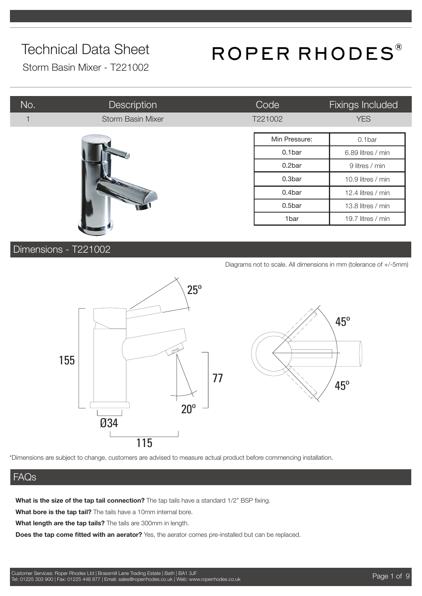## ROPER RHODES®

Storm Basin Mixer - T221002

| No. | <b>Description</b>         | Code          | Fixings Included  |
|-----|----------------------------|---------------|-------------------|
|     | Storm Basin Mixer          | T221002       | <b>YES</b>        |
|     |                            | Min Pressure: | 0.1bar            |
|     |                            | 0.1bar        | 6.89 litres / min |
|     |                            | 0.2bar        | 9 litres / min    |
|     | <b>STATE OF THE OWNER.</b> | 0.3bar        | 10.9 litres / min |
|     |                            | 0.4bar        | 12.4 litres / min |
|     |                            | 0.5bar        | 13.8 litres / min |
|     |                            | 1bar          | 19.7 litres / min |

#### Dimensions - T221002

| Diagrams not to scale. All dimensions in mm (tolerance of +/-5mm) |  |  |  |
|-------------------------------------------------------------------|--|--|--|
|                                                                   |  |  |  |



\*Dimensions are subject to change, customers are advised to measure actual product before commencing installation.

#### FAQs

**What is the size of the tap tail connection?** The tap tails have a standard 1/2" BSP fixing.

**What bore is the tap tail?** The tails have a 10mm internal bore.

**What length are the tap tails?** The tails are 300mm in length.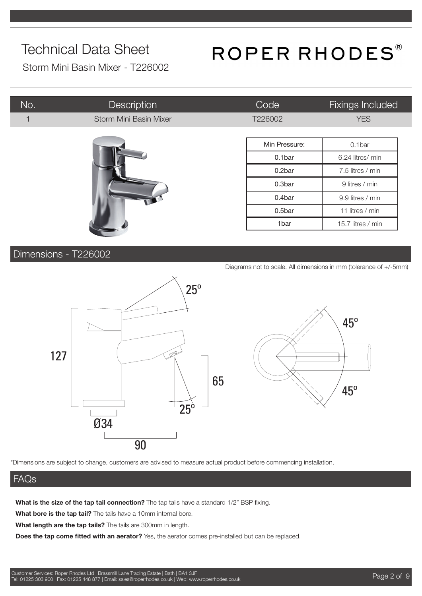## ROPER RHODES®

Storm Mini Basin Mixer - T226002

| No. | <b>Description</b>     | Code          | Fixings Included  |
|-----|------------------------|---------------|-------------------|
|     | Storm Mini Basin Mixer | T226002       | <b>YES</b>        |
|     |                        |               |                   |
|     |                        | Min Pressure: | 0.1bar            |
|     |                        | 0.1bar        | 6.24 litres/ min  |
|     |                        | 0.2bar        | 7.5 litres / min  |
|     |                        | 0.3bar        | 9 litres / min    |
|     |                        | 0.4bar        | 9.9 litres / min  |
|     |                        | 0.5bar        | 11 litres / min   |
|     |                        | 1bar          | 15.7 litres / min |

#### Dimensions - T226002

Diagrams not to scale. All dimensions in mm (tolerance of +/-5mm)

45º

45º



\*Dimensions are subject to change, customers are advised to measure actual product before commencing installation.

#### FAQs

**What is the size of the tap tail connection?** The tap tails have a standard 1/2" BSP fixing.

**What bore is the tap tail?** The tails have a 10mm internal bore.

**What length are the tap tails?** The tails are 300mm in length.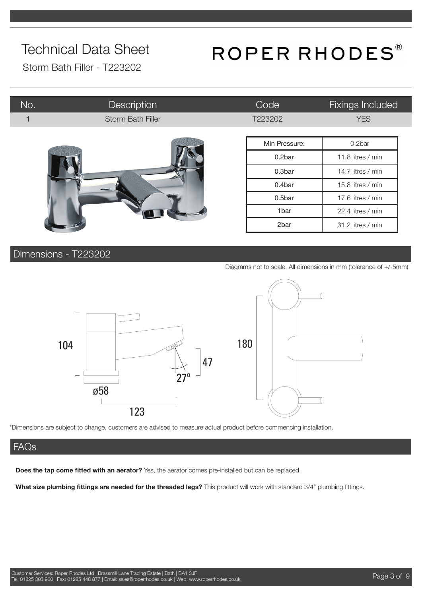## ROPER RHODES®

Storm Bath Filler - T223202

| No.                     | <b>Description</b>       | Code          | Fixings Included  |
|-------------------------|--------------------------|---------------|-------------------|
| $\overline{\mathbf{1}}$ | <b>Storm Bath Filler</b> | T223202       | <b>YES</b>        |
|                         |                          | Min Pressure: | 0.2bar            |
|                         |                          | 0.2bar        | 11.8 litres / min |
|                         |                          | 0.3bar        | 14.7 litres / min |
|                         |                          | 0.4bar        | 15.8 litres / min |
|                         |                          | 0.5bar        | 17.6 litres / min |
|                         |                          | 1bar          | 22.4 litres / min |
|                         |                          | 2bar          | 31.2 litres / min |

#### Dimensions - T223202

Diagrams not to scale. All dimensions in mm (tolerance of +/-5mm)



\*Dimensions are subject to change, customers are advised to measure actual product before commencing installation.

#### FAQs

**Does the tap come fitted with an aerator?** Yes, the aerator comes pre-installed but can be replaced.

**What size plumbing fittings are needed for the threaded legs?** This product will work with standard 3/4" plumbing fittings.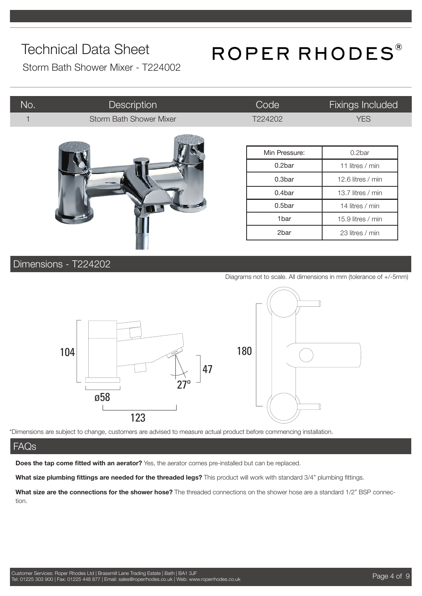## ROPER RHODES®

Storm Bath Shower Mixer - T224002

| No. | Description                    | Code          | <b>Fixings Included</b> |
|-----|--------------------------------|---------------|-------------------------|
|     | <b>Storm Bath Shower Mixer</b> | T224202       | <b>YES</b>              |
|     |                                |               |                         |
|     |                                | Min Pressure: | 0.2bar                  |
|     |                                | 0.2bar        | 11 litres / min         |
|     |                                | 0.3bar        | 12.6 litres / min       |
|     |                                | 0.4bar        | 13.7 litres / min       |
|     |                                | 0.5bar        | 14 litres / min         |
|     |                                | 1bar          | 15.9 litres / min       |
|     |                                | 2bar          | 23 litres / min         |
|     |                                |               |                         |

#### Dimensions - T224202

Diagrams not to scale. All dimensions in mm (tolerance of +/-5mm)



\*Dimensions are subject to change, customers are advised to measure actual product before commencing installation.

#### FAQs

**Does the tap come fitted with an aerator?** Yes, the aerator comes pre-installed but can be replaced.

**What size plumbing fittings are needed for the threaded legs?** This product will work with standard 3/4" plumbing fittings.

**What size are the connections for the shower hose?** The threaded connections on the shower hose are a standard 1/2" BSP connection.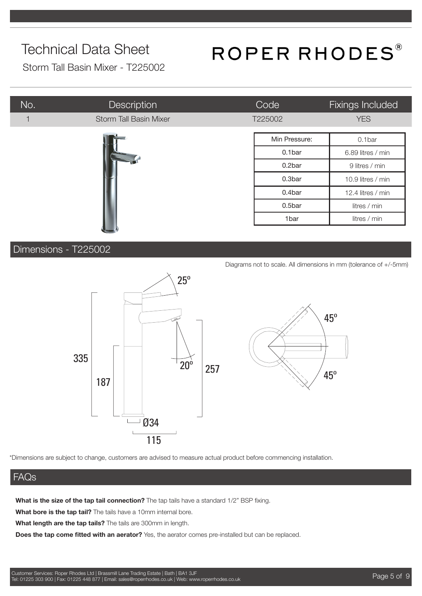## ROPER RHODES®

Storm Tall Basin Mixer - T225002

| No. | Description                   | Code          | Fixings Included  |
|-----|-------------------------------|---------------|-------------------|
| 1   | <b>Storm Tall Basin Mixer</b> | T225002       | <b>YES</b>        |
|     |                               | Min Pressure: | 0.1bar            |
|     |                               | 0.1bar        | 6.89 litres / min |
|     |                               | 0.2bar        | 9 litres / min    |
|     |                               | 0.3bar        | 10.9 litres / min |
|     |                               | 0.4bar        | 12.4 litres / min |
|     |                               | 0.5bar        | litres / min      |
|     |                               | 1bar          | litres / min      |
|     |                               |               |                   |

#### Dimensions - T225002

Diagrams not to scale. All dimensions in mm (tolerance of +/-5mm)



\*Dimensions are subject to change, customers are advised to measure actual product before commencing installation.

#### FAQs

**What is the size of the tap tail connection?** The tap tails have a standard 1/2" BSP fixing.

**What bore is the tap tail?** The tails have a 10mm internal bore.

**What length are the tap tails?** The tails are 300mm in length.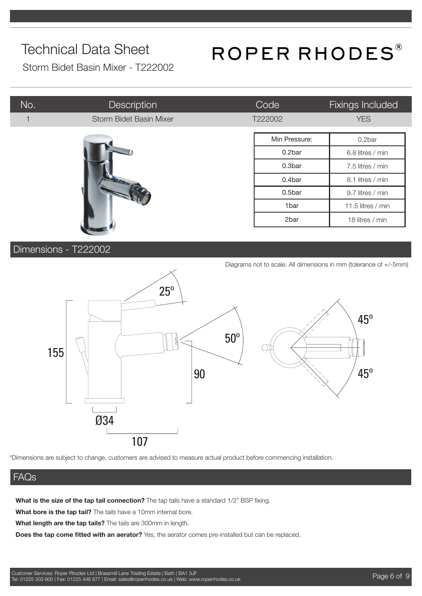## ROPER RHODES®

Storm Bidet Basin Mixer - T222002

| No.            | <b>Description</b>      | Code          | Fixings Included  |
|----------------|-------------------------|---------------|-------------------|
| $\overline{1}$ | Storm Bidet Basin Mixer | T222002       | <b>YES</b>        |
|                |                         | Min Pressure: | 0.2bar            |
|                |                         | 0.2bar        | 6.8 litres / min  |
|                |                         | 0.3bar        | 7.5 litres / min  |
|                |                         | 0.4bar        | 8.1 litres / min  |
|                |                         | 0.5bar        | 9.7 litres / min  |
|                |                         | 1bar          | 11.5 litres / min |
|                |                         | 2bar          | 18 litres / min   |

#### Dimensions - T222002

Diagrams not to scale. All dimensions in mm (tolerance of +/-5mm) 155 90 107 45º 25º 45º Ø34 50º

\*Dimensions are subject to change, customers are advised to measure actual product before commencing installation.

#### FAQs

**What is the size of the tap tail connection?** The tap tails have a standard 1/2" BSP fixing.

**What bore is the tap tail?** The tails have a 10mm internal bore.

**What length are the tap tails?** The tails are 300mm in length.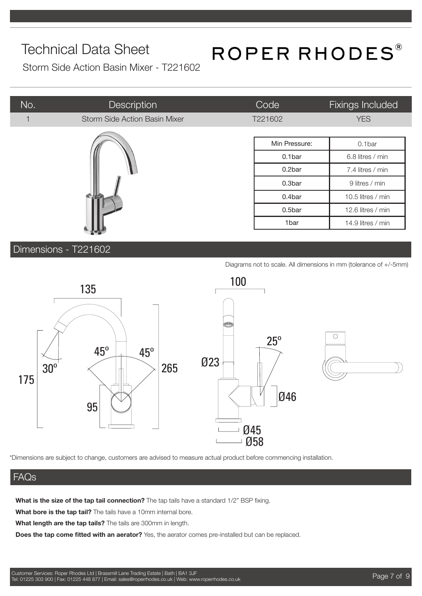## ROPER RHODES®

Storm Side Action Basin Mixer - T221602

| No. | Description                          | Code          | <b>Fixings Included</b> |
|-----|--------------------------------------|---------------|-------------------------|
| 1   | <b>Storm Side Action Basin Mixer</b> | T221602       | <b>YES</b>              |
|     |                                      |               |                         |
|     |                                      | Min Pressure: | 0.1bar                  |
|     |                                      | 0.1bar        | 6.8 litres / min        |
|     |                                      | 0.2bar        | 7.4 litres / min        |
|     |                                      | 0.3bar        | 9 litres / min          |
|     |                                      | 0.4bar        | 10.5 litres / min       |
|     |                                      | 0.5bar        | 12.6 litres / min       |
|     |                                      | 1bar          | 14.9 litres / min       |

Dimensions - T221602

Diagrams not to scale. All dimensions in mm (tolerance of +/-5mm)



\*Dimensions are subject to change, customers are advised to measure actual product before commencing installation.

#### FAQs

**What is the size of the tap tail connection?** The tap tails have a standard 1/2" BSP fixing.

**What bore is the tap tail?** The tails have a 10mm internal bore.

**What length are the tap tails?** The tails are 300mm in length.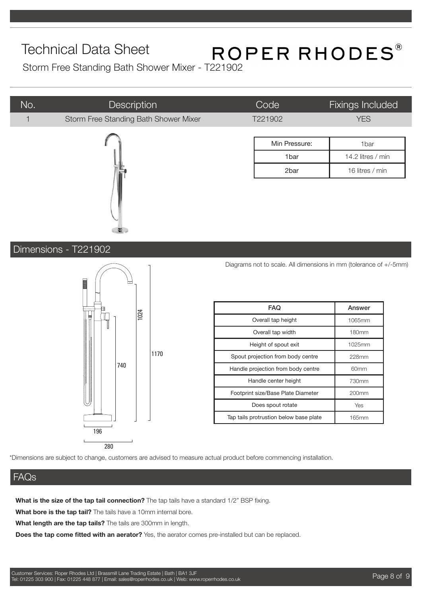# Technical Data Sheet<br>Storm Free Standing Bath Shower Mixer - T221902

| No.                  | Description                           | Code                               |               | <b>Fixings Included</b>                                           |  |
|----------------------|---------------------------------------|------------------------------------|---------------|-------------------------------------------------------------------|--|
|                      | Storm Free Standing Bath Shower Mixer | T221902                            |               | <b>YES</b>                                                        |  |
|                      |                                       |                                    |               |                                                                   |  |
|                      |                                       |                                    | Min Pressure: | 1bar                                                              |  |
|                      |                                       |                                    | 1bar          | 14.2 litres / min                                                 |  |
|                      |                                       |                                    | 2bar          | 16 litres / min                                                   |  |
|                      |                                       |                                    |               |                                                                   |  |
|                      |                                       |                                    |               |                                                                   |  |
| Dimensions - T221902 | ┯                                     |                                    |               | Diagrams not to scale. All dimensions in mm (tolerance of +/-5mm) |  |
|                      | E                                     | <b>FAQ</b>                         |               | Answer                                                            |  |
|                      | 1024                                  | Overall tap height                 |               | 1065mm                                                            |  |
|                      |                                       | Overall tap width                  |               | 180mm                                                             |  |
|                      |                                       | Height of spout exit               |               | 1025mm                                                            |  |
|                      | 1170                                  | Spout projection from body centre  |               | 228mm                                                             |  |
|                      | 740                                   | Handle projection from body centre |               | 60mm                                                              |  |
|                      |                                       | Handle center height               |               | 730mm                                                             |  |
|                      |                                       | Footprint size/Base Plate Diameter |               | 200mm                                                             |  |
|                      |                                       | Does spout rotate                  |               | Yes                                                               |  |

#### FAQs

**What is the size of the tap tail connection?** The tap tails have a standard 1/2" BSP fixing.

**What bore is the tap tail?** The tails have a 10mm internal bore.

**What length are the tap tails?** The tails are 300mm in length.